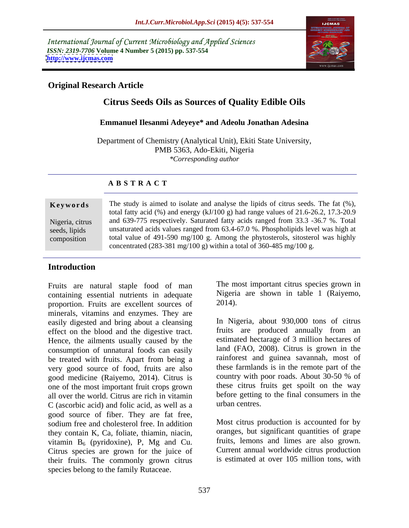International Journal of Current Microbiology and Applied Sciences *ISSN: 2319-7706* **Volume 4 Number 5 (2015) pp. 537-554 <http://www.ijcmas.com>**



## **Original Research Article**

# **Citrus Seeds Oils as Sources of Quality Edible Oils**

#### **Emmanuel Ilesanmi Adeyeye\* and Adeolu Jonathan Adesina**

Department of Chemistry (Analytical Unit), Ekiti State University, PMB 5363, Ado-Ekiti, Nigeria *\*Corresponding author*

### **A B S T R A C T**

composition

**Keywords** The study is aimed to isolate and analyse the lipids of citrus seeds. The fat  $(\%)$ , total fatty acid (%) and energy (kJ/100 g) had range values of 21.6-26.2, 17.3-20.9 and 639-775 respectively. Saturated fatty acids ranged from 33.3 -36.7 %. Total Nigeria, citrus seeds, lipids unsaturated acids values ranged from 63.4-67.0 %. Phospholipids level was high at total value of 491-590 mg/100 g. Among the phytosterols, sitosterol was highly concentrated (283-381 mg/100 g) within a total of 360-485 mg/100 g.

# **Introduction**

Fruits are natural staple food of man containing essential nutrients in adequate Nigeria<br>proportion Fruits are excellent sources of 2014). proportion. Fruits are excellent sources of minerals, vitamins and enzymes. They are easily digested and bring about a cleansing effect on the blood and the digestive tract. Hence, the ailments usually caused by the consumption of unnatural foods can easily be treated with fruits. Apart from being a very good source of food, fruits are also these farmlands is in the remote part of the sood medicine (Raivemo 2014) Citrus is country with poor roads. About 30-50 % of good medicine (Raiyemo, 2014). Citrus is one of the most important fruit crops grown all over the world. Citrus are rich in vitamin before getting  $C$  (ascorbic acid) and folic acid as well as a urban centres. C (ascorbic acid) and folic acid, as well as a good source of fiber. They are fat free, sodium free and cholesterol free. In addition they contain K, Ca, foliate, thiamin, niacin, vitamin  $B_6$  (pyridoxine), P, Mg and Cu. Citrus species are grown for the juice of their fruits. The commonly grown citrus species belong to the family Rutaceae.

The most important citrus species grown in Nigeria are shown in table 1 (Raiyemo, 2014).

In Nigeria, about 930,000 tons of citrus fruits are produced annually from an estimated hectarage of 3 million hectares of land (FAO, 2008). Citrus is grown in the rainforest and guinea savannah, most of these farmlands is in the remote part of the country with poor roads. About 30-50 % of these citrus fruits get spoilt on the way before getting to the final consumers in the urban centres.

Most citrus production is accounted for by oranges, but significant quantities of grape fruits, lemons and limes are also grown. Current annual worldwide citrus production is estimated at over 105 million tons, with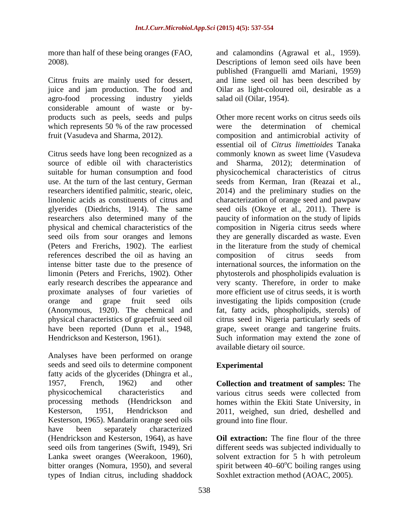Citrus fruits are mainly used for dessert, and lime seed oil has been described by juice and jam production. The food and Oilar as light-coloured oil, desirable as a agro-food processing industry yields salad oil (Oilar, 1954). considerable amount of waste or by products such as peels, seeds and pulps which represents 50  $%$  of the raw processed were the

references described the oil as having an composition of citrus seeds from proximate analyses of four varieties of

Analyses have been performed on orange seeds and seed oils to determine component Experimental fatty acids of the glycerides (Dhingra et al., 1957, French, 1962) and other **Collection and treatment of samples:** The physicochemical characteristics and processing methods (Hendrickson and homes within the Ekiti State University, in Kesterson, 1951, Hendrickson and 2011, weighed, sun dried, deshelled and Kesterson, 1965). Mandarin orange seed oils have been separately characterized (Hendrickson and Kesterson, 1964), as have seed oils from tangerines (Swift, 1949), Sri different seeds was subjected individually to Lanka sweet oranges (Weerakoon, 1960), solvent extraction for 5 h with petroleum bitter oranges (Nomura, 1950), and several spirit between  $40-60^{\circ}$ C boiling ranges using types of Indian citrus, including shaddock

more than half of these being oranges (FAO, and calamondins (Agrawal et al., 1959). 2008). Descriptions of lemon seed oils have been published (Franguelli amd Mariani, 1959) salad oil (Oilar, 1954).

fruit (Vasudeva and Sharma, 2012). composition and antimicrobial activity of Citrus seeds have long been recognized as a commonly known as sweet lime (Vasudeva source of edible oil with characteristics and Sharma, 2012); determination of suitable for human consumption and food physicochemical characteristics of citrus use. At the turn of the last century, German seeds from Kerman, Iran (Reazai et al., researchers identified palmitic, stearic, oleic, 2014) and the preliminary studies on the linolenic acids as constituents of citrus and characterization of orange seed and pawpaw glyerides (Diedrichs, 1914). The same seed oils (Okoye et al., 2011). There is researchers also determined many of the paucity of information on the study of lipids physical and chemical characteristics of the composition in Nigeria citrus seeds where seed oils from sour oranges and lemons they are generally discarded as waste. Even (Peters and Frerichs, 1902). The earliest in the literature from the study of chemical intense bitter taste due to the presence of international sources, the information on the limonin (Peters and Frerichs, 1902). Other phytosterols and phospholipids evaluation is early research describes the appearance and very scanty. Therefore, in order to make orange and grape fruit seed oils investigating the lipids composition (crude (Anonymous, 1920). The chemical and fat, fatty acids, phospholipids, sterols) of physical characteristics of grapefruit seed oil citrus seed in Nigeria particularly seeds of have been reported (Dunn et al., 1948, grape, sweet orange and tangerine fruits. Hendrickson and Kesterson, 1961). Such information may extend the zone of Other more recent works on citrus seeds oils determination of chemical essential oil of *Citrus limettioides* Tanaka composition of citrus seeds from more efficient use of citrus seeds, it is worth available dietary oil source.

# **Experimental**

various citrus seeds were collected from ground into fine flour.

**Oil extraction:** The fine flour of the three Soxhlet extraction method (AOAC, 2005).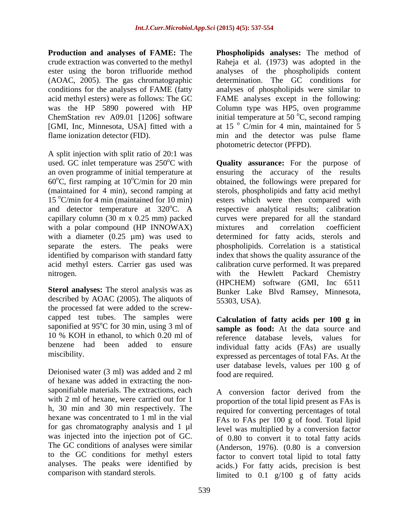(AOAC, 2005). The gas chromatographic

A split injection with split ratio of 20:1 was 60 $^{\circ}$ C, first ramping at 10 $^{\circ}$ C/min for 20 min capillary column (30 m x 0.25 mm) packed with a polar compound (HP INNOWAX) mixtures and correlation coefficient

**Sterol analyses:** The sterol analysis was as described by AOAC (2005). The aliquots of 55303, USA). the processed fat were added to the screw capped test tubes. The samples were saponified at 95°C for 30 min, using 3 ml of benzene had been added to ensure

Deionised water (3 ml) was added and 2 ml of hexane was added in extracting the non saponifiable materials. The extractions, each  $\overrightarrow{A}$  conversion factor derived from the with 2 ml of hexane, were carried out for 1 h, 30 min and 30 min respectively. The hexane was concentrated to 1 ml in the vial for gas chromatography analysis and 1 µl was injected into the injection pot of GC. to the GC conditions for methyl esters analyses. The peaks were identified by

**Production and analyses of FAME:** The **Phospholipids analyses:** The method of crude extraction was converted to the methyl Raheja et al. (1973) was adopted in the ester using the boron trifluoride method analyses of the phospholipids content conditions for the analyses of FAME (fatty analyses of phospholipids were similar to acid methyl esters) were as follows: The GC FAME analyses except in the following: was the HP 5890 powered with HP Column type was HP5, oven programme ChemStation rev A09.01 [1206] software initial temperature at 50  $\mathrm{^{\circ}C}$ , second ramping [GMI, Inc, Minnesota, USA] fitted with a at 15 ° C/min for 4 min, maintained for 5 flame ionization detector (FID). min and the detector was pulse flame determination. The GC conditions for <sup>o</sup>C, second ramping photometric detector (PFPD).

used. GC inlet temperature was 250°C with **Quality assurance:** For the purpose of an oven programme of initial temperature at ensuring the accuracy of the results <sup>o</sup>C/min for 20 min obtained, the followings were prepared for (maintained for 4 min), second ramping at sterols, phospholipids and fatty acid methyl 15  $\degree$ C/min for 4 min (maintained for 10 min) esters which were then compared with and detector temperature at  $320^{\circ}$ C. A respective analytical results; calibration with a diameter (0.25 µm) was used to determined for fatty acids, sterols and separate the esters. The peaks were phospholipids. Correlation is a statistical identified by comparison with standard fatty index that shows the quality assurance of the acid methyl esters. Carrier gas used was calibration curve performed. It was prepared nitrogen. with the Hewlett Packard Chemistry curves were prepared for all the standard mixtures and correlation coefficient (HPCHEM) software (GMI, Inc 6511 Bunker Lake Blvd Ramsey, Minnesota, 55303, USA).

oC for 30 min, using 3 ml of **sample as food:** At the data source and 10 % KOH in ethanol, to which 0.20 ml of reference database levels, values for miscibility. expressed as percentages of total FAs. At the **Calculation of fatty acids per 100 g in** individual fatty acids (FAs) are usually user database levels, values per 100 g of food are required.

The GC conditions of analyses were similar (Anderson, 1976). (0.80 is a conversion comparison with standard sterols.  $\lim \begin{bmatrix} \text{limited} & \text{to} & 0.1 \\ \text{with} & \text{if} & \text{if} \end{bmatrix}$  of fatty acids A conversion factor derived from the proportion of the total lipid present as FAs is required for converting percentages of total FAs to FAs per 100 g of food. Total lipid level was multiplied by a conversion factor of 0.80 to convert it to total fatty acids factor to convert total lipid to total fatty acids.) For fatty acids, precision is best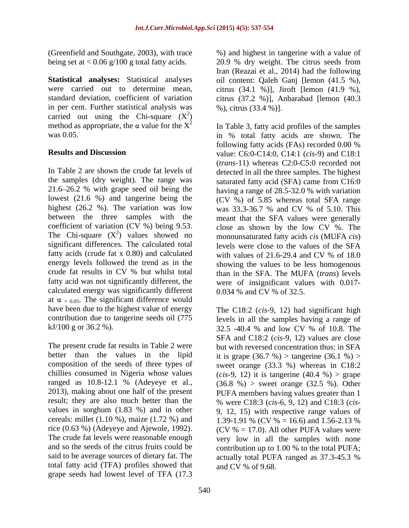in per cent. Further statistical analysis was carried out using the Chi-square  $(X^2)$ <br>method as appropriate, the  $\alpha$  value for the  $X^2$ ) and the contract of  $\mathcal{L}$ method as appropriate, the  $\alpha$  value for the  $X^2$  In Table 3, fatty acid profiles of the samples

In Table 2 are shown the crude fat levels of detected in all the three samples. The highest the samples (dry weight). The range was saturated fatty acid (SFA) came from C16:0 21.6 26.2 % with grape seed oil being the having a range of 28.5-32.0 % with variation lowest (21.6 %) and tangerine being the  $(CV\%)$  of 5.85 whereas total SFA range highest (26.2 %). The variation was low was  $33.3-36.7$  % and CV % of 5.10. This between the three samples with the coefficient of variation (CV %) being 9.53. close as shown by the low CV %. The The Chi-square  $(X^2)$  values showed no monounsaturated fatty acids *cis* (MUFA *cis*) significant differences. The calculated total levels were close to the values of the SFA fatty acids (crude fat x 0.80) and calculated with values of 21.6-29.4 and CV % of 18.0 energy levels followed the trend as in the showing the values to be less homogenous crude fat results in CV % but whilst total than in the SFA. The MUFA (*trans*) levels fatty acid was not significantly different, the were of insignificant values with 0.017 calculated energy was significantly different at  $\alpha$  = 0.05. The significant difference would have been due to the highest value of energy contribution due to tangerine seeds oil (775 levels in all the samples having a range of

The present crude fat results in Table 2 were but with reversed concentration thus: in SFA better than the values in the lipid it is grape  $(36.7 \%)$  > tangerine  $(36.1 \%)$  > composition of the seeds of three types of sweet orange (33.3 %) whereas in C18:2 chillies consumed in Nigeria whose values  $(cis-9, 12)$  it is tangerine  $(40.4 %) >$  grape ranged as  $10.8-12.1$  % (Adeyeye et al.,  $(36.8 \, \%)$  > sweet orange  $(32.5 \, \%)$ ). Other 2013), making about one half of the present PUFA members having values greater than 1 result; they are also much better than the % were C18:3 (*cis*-6, 9, 12) and C18:3 (*cis* values in sorghum (1.83 %) and in other 9, 12, 15) with respective range values of cereals: millet (1.10 %), maize (1.72 %) and 1.39-1.91 % (CV % = 16.6) and 1.56-2.13 % rice (0.63 %) (Adeyeye and Ajewole, 1992). The crude fat levels were reasonable enough very low in all the samples with none and so the seeds of the citrus fruits could be contribution up to 1.00 % to the total PUFA; said to be average sources of dietary fat. The actually total PUFA ranged as 37.3-45.3 % total fatty acid (TFA) profiles showed that grape seeds had lowest level of TFA (17.3

(Greenfield and Southgate, 2003), with trace %) and highest in tangerine with a valueof being set at < 0.06 g/100 g total fatty acids. 20.9 % dry weight. The citrus seeds from **Statistical analyses:** Statistical analyses oil content: Qaleh Ganj [lemon (41.5 %), were carried out to determine mean, citrus (34.1 %)], Jiroft [lemon (41.9 %), standard deviation, coefficient of variation citrus (37.2 %)], Anbarabad [lemon (40.3  $\frac{2}{1}$ Iran (Reazai et al., 2014) had the following %), citrus (33.4 %)].

was 0.05. in % total fatty acids are shown. The **Results and Discussion** value: C6:0-C14:0, C14:1 (*cis*-9) and C18:1 following fatty acids (FAs) recorded 0.00 % (*trans*-11) whereas C2:0-C5:0 recorded not was 33.3-36.7 % and CV % of 5.10. This meant that the SFA values were generally with values of 21.6-29.4 and CV % of 18.0 0.034 % and CV % of 32.5.

kJ/100 g or 36.2 %). 32.5 -40.4 % and low CV % of 10.8. The The C18:2 (*cis*-9, 12) had significant high SFA and C18:2 (*cis*-9, 12) values are close (CV  $% = 17.0$ ). All other PUFA values were contribution up to 1.00 % to the total PUFA; actually total PUFA ranged as 37.3-45.3 % and CV % of 9.68.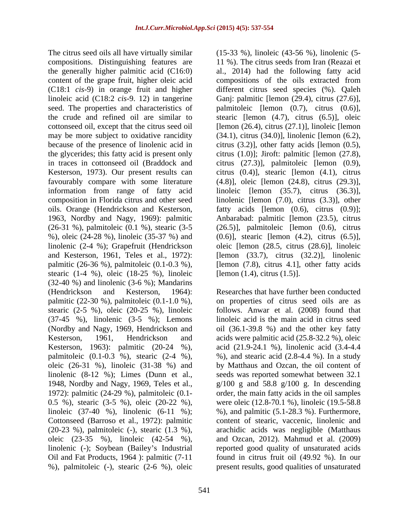compositions. Distinguishing features are 11 %). The citrus seeds from Iran (Reazai et the generally higher palmitic acid (C16:0) al., 2014) had the following fatty acid content of the grape fruit, higher oleic acid compositions of the oils extracted from (C18:1 *cis*-9) in orange fruit and higher different citrus seed species (%). Qaleh linoleic acid (C18:2 *cis*-9. 12) in tangerine Ganj: palmitic [lemon (29.4), citrus (27.6)], seed. The properties and characteristics of palmitoleic [lemon (0.7), citrus (0.6)], the crude and refined oil are similar to stearic [lemon (4.7), citrus (6.5)], oleic cottonseed oil, except that the citrus seed oil [lemon (26.4), citrus (27.1)], linoleic [lemon may be more subject to oxidative rancidity (34.1), citrus (34.0)], linolenic [lemon (6.2), because of the presence of linolenic acid in citrus (3.2), other fatty acids [lemon (0.5), the glycerides; this fatty acid is present only citrus (1.0)]; Jiroft: palmitic [lemon (27.8), in traces in cottonseed oil (Braddock and citrus (27.3)], palmitoleic [lemon (0.9), Kesterson, 1973). Our present results can citrus (0.4)], stearic [lemon (4.1), citrus favourably compare with some literature (4.8)], oleic [lemon (24.8), citrus (29.3)], information from range of fatty acid linoleic [lemon (35.7), citrus (36.3)], composition in Florida citrus and other seed linolenic [lemon (7.0), citrus (3.3)], other oils. Orange (Hendrickson and Kesterson, fatty acids [lemon (0.6), citrus (0.9)]; 1963, Nordby and Nagy, 1969): palmitic Anbarabad: palmitic [lemon (23.5), citrus (26-31 %), palmitoleic (0.1 %), stearic (3-5 (26.5)], palmitoleic [lemon (0.6), citrus %), oleic (24-28 %), linoleic (35-37 %) and (0.6)], stearic [lemon (4.2), citrus (6.5)], linolenic (2-4 %); Grapefruit (Hendrickson oleic [lemon (28.5, citrus (28.6)], linoleic and Kesterson, 1961, Teles et al., 1972): [lemon (33.7), citrus (32.2)], linolenic palmitic (26-36 %), palmitoleic (0.1-0.3 %), [lemon (7.8), citrus 4.1], other fatty acids stearic (1-4 %), oleic (18-25 %), linoleic (32-40 %) and linolenic (3-6 %); Mandarins (Hendrickson and Kesterson, 1964): Researches that have further been conducted palmitic (22-30 %), palmitoleic (0.1-1.0 %), on properties of citrus seed oils are as stearic (2-5 %), oleic (20-25 %), linoleic follows. Anwar et al. (2008) found that (37-45 %), linolenic (3-5 %); Lemons linoleic acid is the main acid in citrus seed (Nordby and Nagy, 1969, Hendrickson and oil (36.1-39.8 %) and the other key fatty Kesterson, 1961, Hendrickson and acids were palmitic acid (25.8-32.2 %), oleic Kesterson, 1963): palmitic (20-24 %), acid (21.9-24.1 %), linolenic acid (3.4-4.4 palmitoleic  $(0.1-0.3 \%)$ , stearic  $(2-4 \%)$ ,  $\%$ ), and stearic acid  $(2.8-4.4 \%)$ . In a study oleic (26-31 %), linoleic (31-38 %) and by Matthaus and Ozcan, the oil content of linolenic (8-12 %); Limes (Dunn et al., seeds was reported somewhat between 32.1 1948, Nordby and Nagy, 1969, Teles et al.,  $g/100$  g and 58.8  $g/100$  g. In descending 1972): palmitic (24-29 %), palmitoleic (0.1- 0.5 %), stearic (3-5 %), oleic (20-22 %), were oleic (12.8-70.1 %), linoleic (19.5-58.8 linoleic (37-40 %), linolenic (6-11 %); %), and palmitic (5.1-28.3 %). Furthermore, Cottonseed (Barroso et al., 1972): palmitic (20-23 %), palmitoleic (-), stearic (1.3 %), oleic (23-35 %), linoleic (42-54 %), and Ozcan, 2012). Mahmud et al. (2009) linolenic (-); Soybean (Bailey's Industrial reported good quality of unsaturated acids Oil and Fat Products, 1964 ): palmitic (7-11 found in citrus fruit oil (49.92 %). In our

The citrus seed oils all have virtually similar (15-33 %), linoleic (43-56 %), linolenic (5- [lemon (1.4), citrus (1.5)].

%), palmitoleic (-), stearic (2-6 %), oleic present results, good qualities of unsaturatedorder, the main fatty acids in the oil samples content of stearic, vaccenic, linolenic and arachidic acids was negligible (Matthaus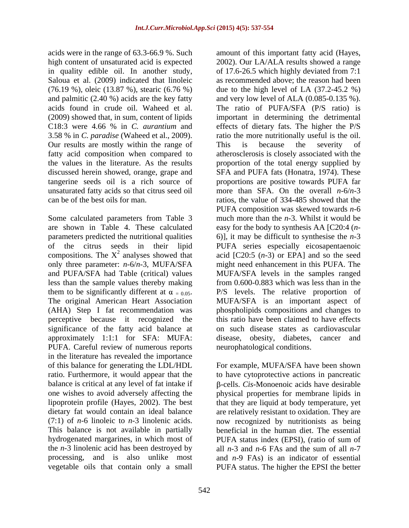in quality edible oil. In another study, of 17.6-26.5 which highly deviated from 7:1 and palmitic (2.40 %) acids are the key fatty Our results are mostly within the range of This is because the severity of discussed herein showed, orange, grape and

Some calculated parameters from Table 3 significance of the fatty acid balance at approximately 1:1:1 for SFA: MUFA: PUFA. Careful review of numerous reports in the literature has revealed the importance of this balance for generating the LDL/HDL For example, MUFA/SFA have been shown ratio. Furthermore, it would appear that the to have cytoprotective actions in pancreatic balance is critical at any level of fat intake if  $\beta$ -cells. *Cis*-Monoenoic acids have desirable one wishes to avoid adversely affecting the physical properties for membrane lipids in lipoprotein profile (Hayes, 2002). The best that they are liquid at body temperature, yet dietary fat would contain an ideal balance are relatively resistant to oxidation. They are (7:1) of *n*-6 linoleic to *n*-3 linolenic acids. This balance is not available in partially beneficial in the human diet. The essential hydrogenated margarines, in which most of PUFA status index (EPSI), (ratio of sum of the *n*-3 linolenic acid has been destroyed by all *n*-3 and *n*-6 FAs and the sum of all *n*-7 processing, and is also unlike most and *n*-9 FAs) is an indicator of essential

acids were in the range of 63.3-66.9 %. Such amount of this important fatty acid (Hayes, high content of unsaturated acid is expected 2002). Our LA/ALA results showed a range Saloua et al. (2009) indicated that linoleic as recommended above; the reason had been (76.19 %), oleic (13.87 %), stearic (6.76 %) due to the high level of LA (37.2-45.2 %) acids found in crude oil. Waheed et al. The ratio of PUFA/SFA (P/S ratio) is (2009) showed that, in sum, content of lipids important in determining the detrimental C18:3 were 4.66 % in *C. aurantium* and effects of dietary fats. The higher the P/S 3.58 % in *C. paradise* (Waheed et al., 2009). ratio the more nutritionally useful is the oil. fatty acid composition when compared to atherosclerosis is closely associated with the the values in the literature. As the results proportion of the total energy supplied by tangerine seeds oil is a rich source of proportions are positive towards PUFA far unsaturated fatty acids so that citrus seed oil more than SFA. On the overall *n*-6/*n*-3 can be of the best oils for man. ratios, the value of 334-485 showed that the are shown in Table 4. These calculated easy for the body to synthesis AA [C20:4 (*n* parameters predicted the nutritional qualities 6)], it may be difficult to synthesise the *n*-3 of the citrus seeds in their lipid PUFA series especially eicosapentaenoic compositions. The  $X^2$  analyses showed that acid [C20:5  $(n-3)$  or EPA] and so the seed only three parameter: *n*-6/*n*-3, MUFA/SFA might need enhancement in this PUFA. The and PUFA/SFA had Table (critical) values MUFA/SFA levels in the samples ranged less than the sample values thereby making from 0.600-0.883 which was less than in the them to be significantly different at  $\alpha = 0.05$ .<br>The original American Heart Association MUFA/SFA is an important aspect of (AHA) Step I fat recommendation was phospholipids compositions and changes to perceptive because it recognized the this ratio have been claimed to have effects approximately 1:1:1 for SFA: MUFA: disease, obesity, diabetes, cancer and of 17.6-26.5 which highly deviated from 7:1 and very low level of ALA (0.085-0.135 %). This is because the severity of SFA and PUFA fats (Honatra, 1974). These PUFA composition was skewed towards *n*-6 much more than the *n*-3. Whilst it would be P/S levels. The relative proportion of MUFA/SFA is an important aspect of on such disease states as cardiovascular neurophatological conditions.

vegetable oils that contain only a small PUFA status. The higher the EPSI the betternow recognized by nutritionists as being beneficial in the human diet. The essential PUFA status index (EPSI), (ratio of sum of all *n*-3 and *n*-6 FAs and the sum of all *n*-7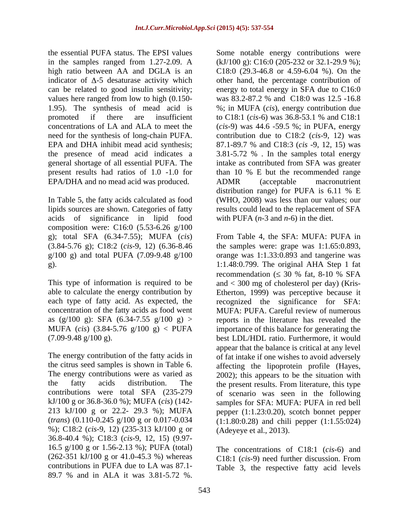the essential PUFA status. The EPSI values Some notable energy contributions were EPA/DHA and no mead acid was produced. ADMR (acceptable macronutrient

acids of significance in lipid food composition were: C16:0 (5.53-6.26 g/100

contributions were total SFA (235-279 kJ/100 g or 36.8-36.0 %); MUFA (*cis*) (142- %); C18:2 (*cis*-9, 12) (235-313 kJ/100 g or 36.8-40.4 %); C18:3 (*cis*-9, 12, 15) (9.97- 16.5 g/100 g or 1.56-2.13 %); PUFA (total) (262-351 kJ/100 g or 41.0-45.3 %) whereas contributions in PUFA due to LA was 87.1- 89.7 % and in ALA it was 3.81-5.72 %.

in the samples ranged from 1.27-2.09. A (kJ/100 g): C16:0 (205-232 or 32.1-29.9 %); high ratio between AA and DGLA is an C18:0 (29.3-46.8 or 4.59-6.04 %). On the indicator of  $\Delta$ -5 desaturase activity which other hand, the percentage contribution of can be related to good insulin sensitivity; energy to total energy in SFA due to C16:0 values here ranged from low to high (0.150- was 83.2-87.2 % and C18:0 was 12.5 -16.8 1.95). The synthesis of mead acid is %; in MUFA (*cis*), energy contribution due promoted if there are insufficient to C18:1 (*cis*-6) was 36.8-53.1 % and C18:1 concentrations of LA and ALA to meet the (*cis*-9) was 44.6 -59.5 %; in PUFA, energy need for the synthesis of long-chain PUFA. contribution due to C18:2 (*cis*-9, 12) was EPA and DHA inhibit mead acid synthesis; 87.1-89.7 % and C18:3 (*cis* -9, 12, 15) was the presence of mead acid indicates a 3.81-5.72 % . In the samples total energy general shortage of all essential PUFA. The intake as contributed from SFA was greater present results had ratios of 1.0 -1.0 for than 10 % E but the recommended range In Table 5, the fatty acids calculated as food (WHO, 2008) was less than our values; our lipids sources are shown. Categories of fatty results could lead to the replacement of SFA ADMR (acceptable macronutrient distribution range) for PUFA is 6.11 % E with PUFA  $(n-3 \text{ and } n-6)$  in the diet.

g); total SFA (6.34-7.55); MUFA (*cis*) From Table 4, the SFA: MUFA: PUFA in (3.84-5.76 g); C18:2 (*cis*-9, 12) (6.36-8.46 the samples were: grape was 1:1.65:0.893, g/100 g) and total PUFA (7.09-9.48 g/100 orange was 1:1.33:0.893 and tangerine was g). 1:1.48:0.799. The original AHA Step 1 fat This type of information is required to be and < 300 mg of cholesterol per day) (Kris able to calculate the energy contribution by Etherton, 1999) was perceptive because it each type of fatty acid. As expected, the recognized the significance for SFA: concentration of the fatty acids as food went MUFA: PUFA. Careful review of numerous as  $(g/100 \text{ g})$ : SFA  $(6.34-7.55 \text{ g}/100 \text{ g})$  > reports in the literature has revealed the MUFA (*cis*) (3.84-5.76 g/100 g) < PUFA importance of this balance for generating the (7.09-9.48 g/100 g). best LDL/HDL ratio. Furthermore, it would The energy contribution of the fatty acids in of fat intake if one wishes to avoid adversely the citrus seed samples is shown in Table 6. <br>affecting the lipoprotein profile (Hayes, The energy contributions were as varied as 2002); this appears to be the situation with the fatty acids distribution. The the present results. From literature, this type 213 kJ/100 g or 22.2- 29.3 %); MUFA pepper (1:1.23:0.20), scotch bonnet pepper (*trans*) (0.110-0.245 g/100 g or 0.017-0.034 (1:1.80:0.28) and chili pepper (1:1.55:024) recommendation ( $\leq 30$  % fat, 8-10 % SFA appear that the balance is critical at any level of scenario was seen in the following samples for SFA: MUFA: PUFA in red bell (Adeyeye et al., 2013).

> The concentrations of C18:1 (*cis*-6) and C18:1 (*cis*-9) need further discussion. From Table 3, the respective fatty acid levels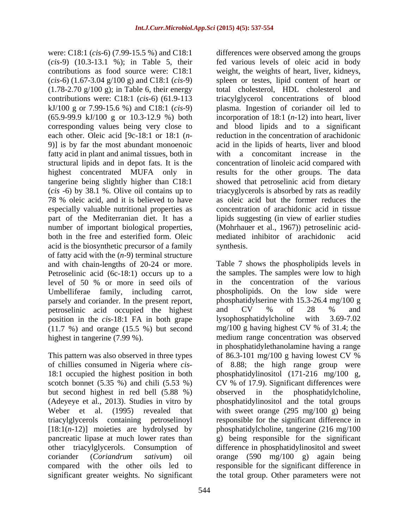corresponding values being very close to fatty acid in plant and animal tissues, both in 78 % oleic acid, and it is believed to have especially valuable nutritional properties as part of the Mediterranian diet. It has a acid is the biosynthetic precursor of a family of fatty acid with the (*n*-9) terminal structure and with chain-lengths of 20-24 or more. Petroselinic acid (6c-18:1) occurs up to a level of 50 % or more in seed oils of parsely and coriander. In the present report,<br>
phosphatidylserine with<br>
person intervalsering and CV  $\%$  of petroselinic acid occupied the highest and CV % of 28 % and position in the *cis*-18:1 FA in both grape lysophosphatidylcholine with 3.69-7.02 position in the *cis*-18:1 FA in both grape<br>(11.7 %) and orange (15.5 %) but second mg/100 g having highest CV % of 31.4; the (11.7 %) and orange (15.5 %) but second

but second highest in red bell (5.88 %) observed in<br>(Adeveye et al., 2013). Studies in vitro by phosphatidyline significant greater weights. No significant

were: C18:1 (*cis*-6) (7.99-15.5 %) and C18:1 differences were observed among the groups (*cis*-9) (10.3-13.1 %); in Table 5, their fed various levels of oleic acid in body contributions as food source were: C18:1 weight, the weights of heart, liver, kidneys, (*cis*-6) (1.67-3.04 g/100 g) and C18:1 (*cis*-9) spleen or testes, lipid content of heart or (1.78-2.70 g/100 g); in Table 6, their energy total cholesterol, HDL cholesterol and contributions were: C18:1 (*cis*-6) (61.9-113 triacylglycerol concentrations of blood kJ/100 g or 7.99-15.6 %) and C18:1 (*cis*-9) plasma. Ingestion of coriander oil led to (65.9-99.9 kJ/100 g or 10.3-12.9 %) both incorporation of 18:1 (*n*-12) into heart, liver each other. Oleic acid [9c-18:1 or 18:1 (*n*- reduction in the concentration of arachidonic 9)] is by far the most abundant monoenoic acid in the lipids of hearts, liver and blood structural lipids and in depot fats. It is the concentration of linoleic acid compared with highest concentrated MUFA only in results for the other groups. The data tangerine being slightly higher than C18:1 showed that petroselinic acid from dietary (*cis* -6) by 38.1 %. Olive oil contains up to triacyglycerols is absorbed by rats as readily number of important biological properties, (Mohrhauer et al., 1967)) petroselinic acid-<br>both in the free and esterified form. Oleic mediated inhibitor of arachidonic acid and blood lipids and to a significant with a concomitant increase in the as oleic acid but the former reduces the concentration of arachidonic acid in tissue lipids suggesting (in view of earlier studies (Mohrhauer et al., 1967)) petroselinic acid mediated inhibitor of arachidonic acid synthesis.

Umbelliferae family, including carrot, phospholipids. On the low side were highest in tangerine (7.99 %). medium range concentration was observed This pattern was also observed in three types of 86.3-101 mg/100 g having lowest CV % of chillies consumed in Nigeria where *cis*- of 8.88; the high range group were 18:1 occupied the highest position in both phosphatidylinositol (171-216 mg/100 g, scotch bonnet (5.35 %) and chili (5.53 %) CV % of 17.9). Significant differences were (Adeyeye et al., 2013). Studies in vitro by phosphatidylinositol and the total groups Weber et al. (1995) revealed that with sweet orange (295 mg/100 g) being triacylglycerols containing petroselinoyl responsible for the significant difference in [18:1(*n*-12)] moieties are hydrolysed by phosphatidylcholine, tangerine (216 mg/100 pancreatic lipase at much lower rates than g) being responsible for the significant other triacylglycerols. Consumption of difference in phosphatidylinositol and sweet coriander (*Coriandrum sativum*) oil orange (590 mg/100 g) again being compared with the other oils led to responsible for the significant difference in Table 7 shows the phospholipids levels in the samples. The samples were low to high the concentration of the various phosphatidylserine with 15.3-26.4 mg/100 g and CV % of 28 % and lysophosphatidylcholine with 3.69-7.02 mg/100 g having highest CV % of 31.4; the in phosphatidylethanolamine having a range the phosphatidylcholine, the total group. Other parameters were not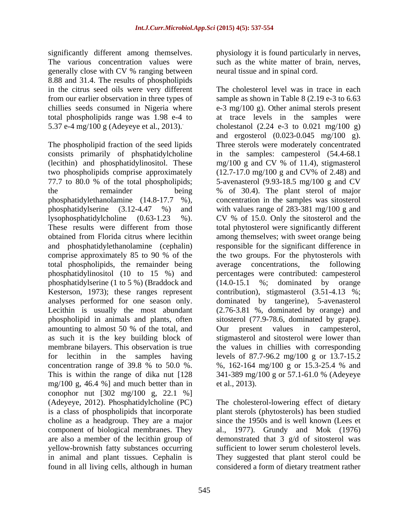significantly different among themselves. physiology it is found particularly in nerves, The various concentration values were such as the white matter of brain, nerves, generally close with CV % ranging between 8.88 and 31.4. The results of phospholipids in the citrus seed oils were very different

two phospholipids comprise approximately total phospholipids, the remainder being phosphatidylinositol (10 to 15 %) and phosphatidylserine (1 to 5 %) (Braddock and amounting to almost 50 % of the total, and Our present values in campesterol, as such it is the key building block of concentration range of 39.8 % to 50.0 %. %, 162-164 mg/100 g or 15.3-25.4 % and This is within the range of dika nut  $128$  341-389 mg/100 g or 57.1-61.0 % (Adeveve mg/100 g, 46.4 %] and much better than in et al., 2013). conophor nut [302 mg/100 g, 22.1 %] in animal and plant tissues. Cephalin is found in all living cells, although in human considered a form of dietary treatment rather

545

neural tissue and in spinal cord.

from our earlier observation in three types of sample as shown in Table 8 (2.19 e-3 to 6.63 chillies seeds consumed in Nigeria where e-3 mg/100 g). Other animal sterols present total phospholipids range was 1.98 e-4 to at trace levels in the samples were 5.37 e-4 mg/100 g (Adeyeye et al., 2013). . cholestanol (2.24 e-3 to 0.021 mg/100 g) The phospholipid fraction of the seed lipids Three sterols were moderately concentrated consists primarily of phsphatidylcholine in the samples: campesterol (54.4-68.1 (lecithin) and phosphatidylinositol. These mg/100 g and CV % of 11.4), stigmasterol 77.7 to 80.0 % of the total phospholipids; 5-avenasterol (9.93-18.5 mg/100 g and CV the remainder being % of 30.4). The plant sterol of major phosphatidylethanolamine (14.8-17.7 %), concentration in the samples was sitosterol phosphatidylserine (3.12-4.47 %) and with values range of 283-381 mg/100 g and lysophosphatidylcholine (0.63-1.23 %). CV % of 15.0. Only the sitosterol and the These results were different from those total phytosterol were significantly different obtained from Florida citrus where lecithin among themselves; with sweet orange being and phosphatidylethanolamine (cephalin) responsible for the significant difference in comprise approximately 85 to 90 % of the two groups. For the phytosterols with Kesterson, 1973); these ranges represent contribution), stigmasterol (3.51-4.13 %; analyses performed for one season only. dominated by tangerine), 5-avenasterol Lecithin is usually the most abundant (2.76-3.81 %, dominated by orange) and phospholipid in animals and plants, often sitosterol (77.9-78.6, dominated by grape). membrane bilayers. This observation is true the values in chillies with corresponding for lecithin in the samples having levels of 87.7-96.2 mg/100 g or 13.7-15.2 The cholesterol level was in trace in each and ergosterol (0.023-0.045 mg/100 g). (12.7-17.0 mg/100 g and CV% of 2.48) and average concentrations, the percentages were contributed: campesterol (14.0-15.1 %; dominated by orange Our present values in campesterol, stigmasterol and sitosterol were lower than %, 162-164 mg/100 g or 15.3-25.4 % and 341-389 mg/100 g or 57.1-61.0 % (Adeyeye et al., 2013).

(Adeyeye, 2012). Phosphatidylcholine (PC) The cholesterol-lowering effect of dietary is a class of phospholipids that incorporate plant sterols (phytosterols) has been studied choline as a headgroup. They are a major since the 1950s and is well known (Lees et component of biological membranes. They al., 1977). Grundy and Mok (1976) are also a member of the lecithin group of demonstrated that 3 g/d of sitosterol was yellow-brownish fatty substances occurring sufficient to lower serum cholesterol levels. They suggested that plant sterol could be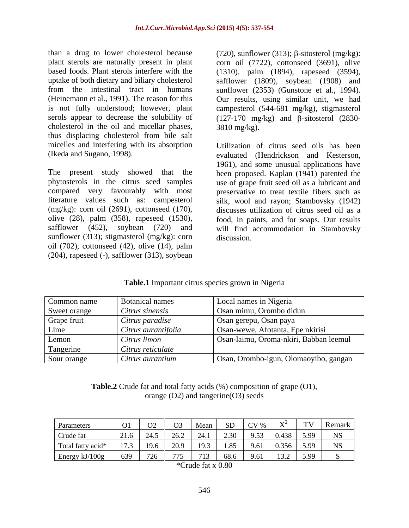than a drug to lower cholesterol because (720), sunflower (313);  $\beta$ -sitosterol (mg/kg): plant sterols are naturally present in plant corn oil (7722), cottonseed (3691), olive based foods. Plant sterols interfere with the (1310), palm (1894), rapeseed (3594), uptake of both dietary and biliary cholesterol safflower (1809), soybean (1908) and from the intestinal tract in humans sunflower (2353) (Gunstone et al., 1994). (Heinemann et al., 1991). The reason for this Our results, using similar unit, we had is not fully understood; however, plant campesterol (544-681 mg/kg), stigmasterol serols appear to decrease the solubility of  $(127-170 \text{ mg/kg})$  and  $\beta$ -sitosterol (2830cholesterol in the oil and micellar phases,  $3810 \text{ mg/kg}$ . thus displacing cholesterol from bile salt micelles and interfering with its absorption

sunflower (313); stigmasterol (mg/kg): corn discussion. oil (702), cottonseed (42), olive (14), palm (204), rapeseed (-), safflower (313), soybean

3810 mg/kg).

(Ikeda and Sugano, 1998). evaluated (Hendrickson and Kesterson, The present study showed that the been proposed. Kaplan (1941) patented the phytosterols in the citrus seed samples use of grape fruit seed oil as a lubricant and compared very favourably with most preservative to treat textile fibers such as literature values such as: campesterol silk, wool and rayon; Stambovsky (1942) (mg/kg): corn oil (2691), cottonseed (170), discusses utilization of citrus seed oil as a olive (28), palm (358), rapeseed (1530), food, in paints, and for soaps. Our results safflower (452), soybean (720) and will find accommodation in Stambovsky Utilization of citrus seed oils has been 1961), and some unusual applications have discussion.

| Common name  | <b>Botanical names</b> | Local names in Nigeria                 |
|--------------|------------------------|----------------------------------------|
| Sweet orange | Citrus sinensis        | Osan mimu, Orombo didun                |
| Grape fruit  | Citrus paradise        | Osan gerepu, Osan paya                 |
| Lime         | Citrus aurantifolia    | Osan-wewe, Afotanta, Epe nkirisi       |
| Lemon        | Citrus limon           | Osan-laimu, Oroma-nkiri, Babban leemul |
| Tangerine    | Citrus reticulate      |                                        |
| Sour orange  | Citrus aurantium       | Osan, Orombo-igun, Olomaoyibo, gangan  |

**Table.1** Important citrus species grown in Nigeria

**Table.2** Crude fat and total fatty acids (%) composition of grape (O1), orange (O2) and tangerine(O3) seeds

| Parameters        |                          |     |        |      |              | TV   Remark |            |
|-------------------|--------------------------|-----|--------|------|--------------|-------------|------------|
| Crude fat         |                          |     |        | 0.52 | $0.438$ 5.99 |             | <b>NIC</b> |
| Total fatty acid* |                          | 102 |        | 961  | $0.356$ 5.99 |             |            |
| Energy kJ/100g    | $\overline{z}$<br>ו ט∠ ו |     | 68.6 L | 961  | $13.2$ 5.99  |             |            |

<sup>\*</sup>Crude fat x 0.80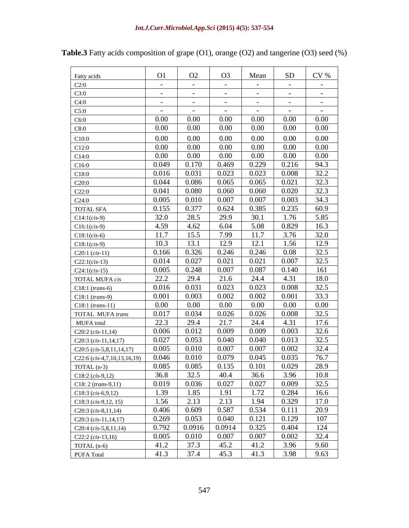|                                    |                          |                                                                                          |                                       |                 | CV%                                                                 |
|------------------------------------|--------------------------|------------------------------------------------------------------------------------------|---------------------------------------|-----------------|---------------------------------------------------------------------|
| Fatty acids                        | O1                       | O <sub>2</sub>                                                                           | O <sub>3</sub>                        | Mean            | SD                                                                  |
| C2:0                               | $\sim$                   | $\sim$ 100 $\sim$                                                                        | $\sim$ 100 $\sim$                     | $\sim$ $ \sim$  | $\sim$ $-$<br>$\sim 100$ m $^{-1}$                                  |
| C3:0                               | <b>Contract Contract</b> | $\sim 100$                                                                               | $\sim 100$ m $^{-1}$                  | $\sim$ $ \sim$  | $\sim 100$ m $^{-1}$<br>$\sim 1000$ m $^{-1}$                       |
| C4:0                               | $\sim$ $\sim$            | $\sim$ $-$                                                                               | $\sim$ 100 $\sim$                     | $\sim$ $-$      | $\sim$ $ \sim$<br>$\sim 100$ m $^{-1}$                              |
| C5:0                               | $\sim$ $ \sim$           | <b>Contract Contract</b>                                                                 | $\sim 100$ m $^{-1}$                  | $\sim$ $ \sim$  | <b>Contract Contract</b><br>$\sim$ $-$                              |
| C6:0                               | $0.00\,$                 | $0.00\,$                                                                                 | $0.00\,$                              | $0.00\,$        | $0.00\,$<br>$0.00\,$                                                |
| C8:0                               | $0.00\,$                 | $0.00\,$                                                                                 | $0.00\,$                              | $0.00\,$        | $0.00\,$<br>0.00                                                    |
| C10:0                              | $0.00\,$                 | $0.00\,$                                                                                 | $0.00\,$                              | $0.00\,$        | $0.00\,$<br>$0.00\,$                                                |
| C12:0                              | $0.00\,$                 | $0.00\,$                                                                                 | $0.00\,$                              | $0.00\,$        | 0.00<br>$0.00\,$                                                    |
| C14:0                              | $0.00\,$                 | $0.00\,$                                                                                 | $0.00\,$                              | $0.00\,$        | $0.00\,$<br>0.00                                                    |
| C16:0                              |                          | $0.049$ 0.170                                                                            | $\big  0.469$                         |                 | $0.229$ 0.216<br>94.3                                               |
| C18:0                              |                          | $0.016$ 0.031                                                                            | 0.023                                 |                 | 32.2<br>$0.023$ 0.008                                               |
| C20:0                              |                          | $0.044$ 0.086                                                                            | 0.065                                 | $0.065$ 0.021   | 32.3                                                                |
| C22:0                              | 0.041                    | 0.080                                                                                    | 0.060                                 | 0.060           | 0.020<br>32.3                                                       |
| C24:0                              |                          | $0.005$ 0.010                                                                            | 0.007                                 | 0.007           | 0.003<br>34.3                                                       |
| <b>TOTAL SFA</b>                   | 0.155                    | 0.377                                                                                    | 0.624                                 | 0.385           | $\begin{array}{ c} 0.235 \\ \end{array}$<br>60.9                    |
| $C14:1(cis-9)$                     | 32.0                     | 28.5                                                                                     | 29.9                                  | 30.1            | 1.76<br>5.85                                                        |
| $C16:1(cis-9)$                     | 4.59                     | 4.62                                                                                     | 6.04                                  | 5.08            | 0.829<br>16.3                                                       |
| $C18:1(cis-6)$                     | 11.7                     | 15.5                                                                                     | 7.99                                  | 11.7            | 32.0<br>3.76                                                        |
| $C18:1(cis-9)$                     | 10.3                     | 13.1                                                                                     | 12.9                                  | 12.1            | 12.9<br>1.56                                                        |
| $C20:1(cis-11)$                    |                          | $0.166$ 0.326                                                                            | 0.246                                 | 0.246           | 32.5<br>0.08                                                        |
| $C22:1(cis-13)$                    |                          | $0.014$ 0.027                                                                            | 0.021                                 | $0.021$ 0.007   | 32.5                                                                |
| $C24:1(cis-15)$                    | 0.005                    | 0.248                                                                                    | 0.007                                 | 0.087           | $\vert 0.140 \vert$<br>161                                          |
| <b>TOTAL MUFA</b> cis              | 22.2                     | 29.4                                                                                     | 21.6                                  | 24.4            | 18.0<br>4.31                                                        |
| $C18:1 (trans-6)$                  | 0.016                    | 0.031                                                                                    | 0.023                                 | 0.023           | 32.5<br>0.008                                                       |
| $C18:1 (trans-9)$                  |                          | $0.001$ 0.003                                                                            | $\begin{array}{ c} 0.002 \end{array}$ | 0.002           | 0.001<br>33.3                                                       |
| C18:1 (trans-11)                   | $0.00\,$                 | $0.00\,$                                                                                 | $0.00\,$                              | $0.00\,$        | $0.00\,$<br>$0.00\,$                                                |
| TOTAL MUFA trans                   | 0.017                    | 0.034                                                                                    | 0.026                                 | $0.026$ 0.008   | 32.5                                                                |
| MUFA total                         | 22.3                     | 29.4                                                                                     | 21.7                                  | 24.4            | 17.6<br>4.31                                                        |
| $C20:2(cis-11,14)$                 | 0.006                    | 0.012                                                                                    | 0.009                                 | 0.009           | 0.003<br>32.6                                                       |
| $C20:3(cis-11,14,17)$              | 0.027                    | 0.053                                                                                    | 0.040                                 | 0.040           | 32.5<br>0.013                                                       |
| $C20:5(cis-5,8,11,14,17)$          |                          | $0.005$ 0.010                                                                            | 0.007                                 | $0.007$ 0.002   | 32.4                                                                |
| $C22:6(cis-4,7,10,13,16,19)$       | 0.046                    | 0.010                                                                                    | 0.079                                 | $0.045$ 0.035   | 76.7                                                                |
| $TOTAL(n-3)$                       |                          |                                                                                          |                                       |                 | 0.085 0.085 0.135 0.101 0.029 28.9<br>36.8 32.5 40.4 36.6 3.96 10.8 |
| $C18:2(cis-9,12)$                  |                          |                                                                                          | 0.027                                 |                 |                                                                     |
| C18: 2 (trans-9,11)                |                          | $0.019$ 0.036                                                                            |                                       |                 | $0.027$ 0.009<br>32.5<br>$1.72 \quad 0.284$                         |
| $C18:3(cis-6,9,12)$                |                          | $\begin{tabular}{c cc} 1.39 & 1.85 & 1.91 \\ \hline 1.56 & 2.13 & 2.13 \\ \end{tabular}$ |                                       |                 | 16.6                                                                |
| $C18:3 (cis-9,12, 15)$             |                          | $0.406$ 0.609 0.587                                                                      |                                       | $0.534$ $0.111$ | $\frac{17.0}{20.9}$<br>$1.94$ 0.329                                 |
| C20:3 $(cis-8,11,14)$              |                          | 0.269 0.053                                                                              | 0.040                                 |                 | 107                                                                 |
| $C20:3(cis-11,14,17)$              |                          | $0.792$ 0.0916 0.0914                                                                    |                                       | $0.325$ 0.404   | $0.121$ 0.129<br>124                                                |
| $\big $ C20:4 (cis-5,8,11,14)      |                          | $0.005$ 0.010 0.007                                                                      |                                       |                 | $0.007$ 0.002<br>32.4                                               |
| C22:2 $(cis-13,16)$<br>TOTAL (n-6) |                          |                                                                                          |                                       |                 |                                                                     |
|                                    |                          | 41.2 37.3 45.2                                                                           |                                       |                 | $41.2$ 3.96<br>9.60                                                 |

**Table.3** Fatty acids composition of grape (O1), orange (O2) and tangerine (O3) seed (%)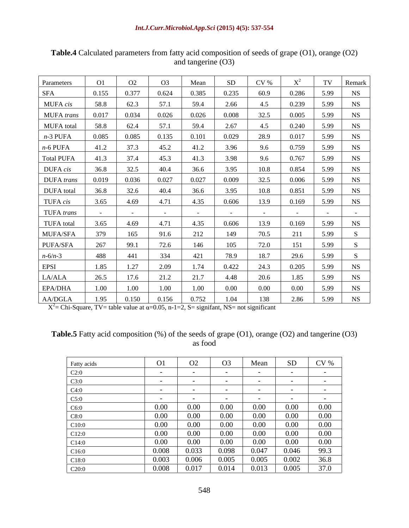| Parameters        | O1             |                          | O <sub>3</sub> | Mean                     | SD.      | CV%                  |                          |                      | Remark                   |
|-------------------|----------------|--------------------------|----------------|--------------------------|----------|----------------------|--------------------------|----------------------|--------------------------|
| <b>SFA</b>        | 0.155          | 0.377                    | 0.624          | 0.385                    | 0.235    | 60.9                 | 0.286                    | 5.99                 | <b>NS</b>                |
| MUFA cis          | 58.8           | 62.3                     |                | 59.4                     | 2.66     | 4.5                  | 0.239                    | 5.99                 | <b>NS</b>                |
| MUFA trans        | 0.017          | 0.034                    | 0.026          | 0.026                    | 0.008    | 32.5                 | 0.005                    | 5.99                 | NS                       |
| <b>MUFA</b> total | 58.8           | 62.4                     | 57.1           | 59.4                     | 2.67     | 4.5                  | 0.240                    | 5.99                 | <b>NS</b>                |
| $n-3$ PUFA        | 0.085          | 0.085                    | 0.135          | 0.101                    | 0.029    | 28.9                 | 0.017                    | 5.99                 | NS                       |
| $n-6$ PUFA        | 41.2           |                          | 45.2           | 41.2                     | 3.96     | 9.6                  | 0.759                    | 5.99                 | <b>NS</b>                |
| Total PUFA        | 41.3           | 37.4                     | 45.3           | 41.3                     | 3.98     | 9.6                  | 0.767                    | 5.99                 | NS                       |
| DUFA cis          | 36.8           | 32.5                     | 40.4           | 36.6                     | 3.95     | 10.8                 | 0.854                    | 5.99                 | NS                       |
| DUFA trans        | 0.019          | 0.036                    | 0.027          | 0.027                    | 0.009    | 32.5                 | 0.006                    | 5.99                 | NS                       |
| DUFA total        | 36.8           | 32.6                     | 40.4           | 36.6                     | 3.95     | 10.8                 | 0.851                    | 5.99                 | NS                       |
| TUFA cis          | 3.65           | 4.69                     | 4.71           | 4.35                     | 0.606    | 13.9                 | 0.169                    | 5.99                 | NS                       |
| TUFA trans        | <b>Service</b> | <b>Contract Contract</b> |                | <b>Contract Contract</b> | $\sim$   | $\sim 100$ m $^{-1}$ | <b>Contract Contract</b> | <b>Service</b> State | <b>Contract Contract</b> |
|                   | 3.65           | 4.69                     | 4.71           | 4.35                     | 0.606    | 13.9                 | 0.169                    | 5.99                 |                          |
| TUFA total        | 379            |                          | 91.6           |                          | 149      | 70.5                 | 211                      | 5.99                 | NS                       |
| MUFA/SFA          | 267            | 165                      |                | 212                      |          |                      |                          |                      |                          |
| PUFA/SFA          |                | 99.1                     | 72.6           | 146                      | 105      | 72.0                 |                          | 5.99                 |                          |
| $n - 6/n - 3$     | 488            | 441                      | 334            | 421                      | 78.9     | 18.7                 | 29.6                     | 5.99                 |                          |
| EPSI              | 1.85           | 1.27                     | 2.09           | 1.74                     | 0.422    | 24.3                 | 0.205                    | 5.99                 | NS                       |
| $\rm LA/ALA$      | 26.5           | 17.6                     | 21.2           | 21.7                     | 4.48     | 20.6                 | 1.85                     | 5.99                 | <b>NS</b>                |
| EPA/DHA           | 1.00           | 1.00                     | 1.00           | 1.00                     | $0.00\,$ | $0.00\,$             | $0.00\,$                 | 5.99                 | N <sub>S</sub>           |
| AA/DGLA           | 1.95           | 0.150                    | 0.156          | 0.752                    | 1.04     | 138                  | 2.86                     | 5.99                 | NS                       |

**Table.4** Calculated parameters from fatty acid composition of seeds of grape (O1), orange (O2) and tangerine (O3)

 $X^2$  = Chi-Square, TV = table value at  $\alpha$  = 0.05, n-1=2, S = signifant, NS = not significant

# **Table.5** Fatty acid composition (%) of the seeds of grape (O1), orange (O2) and tangerine (O3) as food as food

| Fatty acids | $\bigcap_{i=1}^n$<br>UI. | $\Omega$<br>UZ               | $\Omega$<br>U <sub>3</sub> | Mean                         | SD               | CV%      |
|-------------|--------------------------|------------------------------|----------------------------|------------------------------|------------------|----------|
| C2:0        |                          |                              |                            |                              |                  |          |
| C3:0        |                          |                              |                            |                              |                  |          |
| C4:0        |                          |                              |                            |                              |                  |          |
| C5:0        |                          |                              |                            |                              | $ -$             |          |
| C6:0        | 0.00                     | $\sim$ $\sim$ $\sim$<br>v.vv | $0.00\,$                   | $0.00\,$                     | 0.00<br>0.00     | 0.00     |
| C8:0        | $0.00\,$                 | 0.00<br>U.UU                 | $0.00\,$                   | $0.00\,$                     | $\alpha$<br>0.00 | 0.00     |
| - C10:C     |                          | J.UU                         | 0.00<br>J.UU               | $\sim$ $\sim$ $\sim$<br>J.UU |                  | 0.00     |
|             | $0.00\,$                 | $\sim$ $\sim$                | $0.00\,$                   | $0.00\,$                     | $0.00\,$         | $0.00\,$ |
| C12:0       | 0.00                     | 0.00                         | 0.00                       | $0.00\,$                     | 0.00             | $0.00\,$ |
| C14:0       |                          | V.VV                         |                            |                              |                  |          |
| C16:0       | 0.008                    | 0.033                        | $0.\overline{098}$         | 0.047                        | 0.046            | 99.3     |
| C18:0       | 0.003                    | 0.006                        | 0.005                      | 0.005                        | 0.002            | 36.8     |
| C20:0       | 0.008                    | 0.017                        | 0.014                      | 0.013                        | 0.005            | 37.0     |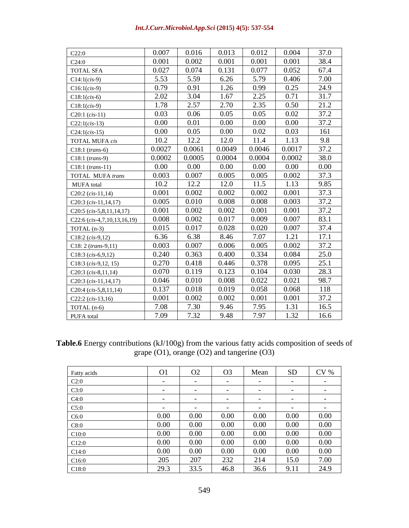| urr.Microbiol.App.Sci (2015) 4(5): 537-554<br>Int.J.Curr.M |  |
|------------------------------------------------------------|--|
|                                                            |  |

| C22:0                         | 0.007  | 0.016    | 0.013    | 0.012  | 0.004    | 37.0     |
|-------------------------------|--------|----------|----------|--------|----------|----------|
| C24:0                         | 0.001  | 0.002    | 0.001    | 0.001  | 0.001    | 38.4     |
| <b>TOTAL SFA</b>              | 0.027  | 0.074    | 0.131    | 0.077  | 0.052    | 67.4     |
| $Cl4:1(cis-9)$                | 5.53   | 5.59     | 6.26     | 5.79   | 0.406    | 7.00     |
| $C16:1(cis-9)$                | 0.79   | 0.91     | 1.26     | 0.99   | 0.25     | 24.9     |
| $Cl8:1(cis-6)$                | 2.02   | 3.04     | 1.67     | 2.25   | 0.71     | 31.7     |
| $Cl8:1(cis-9)$                | 1.78   | 2.57     | 2.70     | 2.35   | 0.50     | 21.2     |
| $C20:1(cis-11)$               | 0.03   | 0.06     | 0.05     | 0.05   | 0.02     | 37.2     |
| $C22:1(cis-13)$               | 0.00   | 0.01     | 0.00     | 0.00   | $0.00\,$ | 37.2     |
| $C24:1(cis-15)$               | 0.00   | 0.05     | $0.00\,$ | 0.02   | 0.03     | 161      |
| <b>TOTAL MUFA cis</b>         | 10.2   | 12.2     | 12.0     | 11.4   | 1.13     | 9.8      |
| $C18:1 (trans-6)$             | 0.0027 | 0.0061   | 0.0049   | 0.0046 | 0.0017   | 37.2     |
| $Cl8:1 (trans-9)$             | 0.0002 | 0.0005   | 0.0004   | 0.0004 | 0.0002   | 38.0     |
| $Cl8:1 (trans-11)$            | 0.00   | $0.00\,$ | $0.00\,$ | 0.00   | $0.00\,$ | $0.00\,$ |
| TOTAL MUFA trans              | 0.003  | 0.007    | 0.005    | 0.005  | 0.002    | 37.3     |
| <b>MUFA</b> total             | 10.2   | 12.2     | 12.0     | 11.5   | 1.13     | 9.85     |
| $C20:2(cis-11,14)$            | 0.001  | 0.002    | 0.002    | 0.002  | 0.001    | 37.3     |
| $C20:3$ (cis-11,14,17)        | 0.005  | 0.010    | 0.008    | 0.008  | 0.003    | 37.2     |
| $C20:5$ (cis-5,8,11,14,17)    | 0.001  | 0.002    | 0.002    | 0.001  | 0.001    | 37.2     |
| $C22:6$ (cis-4,7,10,13,16,19) | 0.008  | 0.002    | 0.017    | 0.009  | 0.007    | 83.1     |
| TOTAL $(n-3)$                 | 0.015  | 0.017    | 0.028    | 0.020  | 0.007    | 37.4     |
| $C18:2(cis-9,12)$             | 6.36   | 6.38     | 8.46     | 7.07   | 1.21     | 17.1     |
| $C18: 2 (trans-9,11)$         | 0.003  | 0.007    | 0.006    | 0.005  | 0.002    | 37.2     |
| $C18:3(cis-6,9,12)$           | 0.240  | 0.363    | 0.400    | 0.334  | 0.084    | 25.0     |
| $Cl8:3 (cis-9,12, 15)$        | 0.270  | 0.418    | 0.446    | 0.378  | 0.095    | 25.1     |
| C20:3 $(cis-8,11,14)$         | 0.070  | 0.119    | 0.123    | 0.104  | 0.030    | 28.3     |
| $C20:3(cis-11,14,17)$         | 0.046  | 0.010    | 0.008    | 0.022  | 0.021    | 98.7     |
| $C20:4(cis-5,8,11,14)$        | 0.137  | 0.018    | 0.019    | 0.058  | 0.068    | 118      |
| $C22:2(cis-13,16)$            | 0.001  | 0.002    | 0.002    | 0.001  | 0.001    | 37.2     |
| TOTAL $(n-6)$                 | 7.08   | 7.30     | 9.46     | 7.95   | 1.31     | 16.5     |
| PUFA total                    | 7.09   | 7.32     | 9.48     | 7.97   | 1.32     | 16.6     |
|                               |        |          |          |        |          |          |

**Table.6** Energy contributions (kJ/100g) from the various fatty acids composition of seeds of grape (O1), orange (O2) and tangerine (O3)

|             |                              |                              | O <sub>3</sub> | Mean              | SD                       | $CV$ %   |
|-------------|------------------------------|------------------------------|----------------|-------------------|--------------------------|----------|
| Fatty acids |                              |                              |                |                   |                          |          |
| C2:0        |                              | $\sim$ $\sim$ $\sim$         |                |                   |                          |          |
| C3:0        |                              |                              |                |                   |                          |          |
| C4:0        |                              | $\sim$ $\sim$                |                |                   |                          |          |
| C5:0        |                              | $\sim$ $-$                   |                |                   |                          |          |
| C6:0        | $\sim$ $\sim$ $\sim$<br>0.00 | $\sim$ $\sim$ $\sim$<br>0.00 | 0.00           | .<br>V.VV         | .<br>v.vv                | $0.00\,$ |
| C8:0        | 0.00                         | 0.00                         | 0.00           | $0.00\,$          | $\alpha$<br>U.UU         | $0.00\,$ |
|             | 0.00                         | 0.00 <sub>1</sub>            | 0.00           | 0.00 <sub>1</sub> | V.VV                     | $0.00\,$ |
| CIZ:U       | 0.00                         | $0.00\,$                     | 0.00           | $0.00\,$          | $\alpha$<br>V.VV         | 0.00     |
| C14:0       | 0.00                         | $0.00\,$                     | 0.00           | 0.00 <sub>1</sub> | $0.00\,$                 | $0.00\,$ |
| C16:0       | $\Delta \Omega$              | 207                          | 222<br>LJ L    | 214               | 15.0                     | 7.00     |
| C18:0       | 29.3                         | 33.5                         | 46.8           | 36.6              | $\overline{\phantom{a}}$ | 24.9     |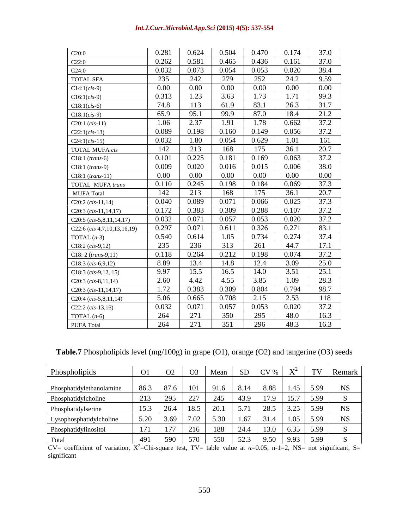#### *Int.J.Curr.Microbiol.App.Sci* **(2015) 4(5): 537-554**

| C20:0                         | 0.281    | 0.624 | 0.504    | 0.470    | 0.174    | 37.0     |
|-------------------------------|----------|-------|----------|----------|----------|----------|
| C22:0                         | 0.262    | 0.581 | 0.465    | 0.436    | 0.161    | 37.0     |
| C24:0                         | 0.032    | 0.073 | 0.054    | 0.053    | 0.020    | 38.4     |
| <b>TOTAL SFA</b>              | 235      | 242   | 279      | 252      | 24.2     | 9.59     |
| $C14:1(cis-9)$                | $0.00\,$ | 0.00  | $0.00\,$ | 0.00     | 0.00     | $0.00\,$ |
| $C16:1(cis-9)$                | 0.313    | 1.23  | 3.63     | 1.73     | 1.71     | 99.3     |
| $C18:1(cis-6)$                | 74.8     | 113   | 61.9     | 83.1     | 26.3     | 31.7     |
| $C18:1(cis-9)$                | 65.9     | 95.1  | 99.9     | 87.0     | 18.4     | 21.2     |
| $C20:1(cis-11)$               | 1.06     | 2.37  | 1.91     | 1.78     | 0.662    | 37.2     |
| $C22:1(cis-13)$               | 0.089    | 0.198 | 0.160    | 0.149    | 0.056    | 37.2     |
| $C24:1(cis-15)$               | 0.032    | 1.80  | 0.054    | 0.629    | 1.01     | 161      |
| TOTAL MUFA cis                | 142      | 213   | 168      | 175      | 36.1     | 20.7     |
| $C18:1$ (trans-6)             | 0.101    | 0.225 | 0.181    | 0.169    | 0.063    | 37.2     |
| $C18:1$ (trans-9)             | 0.009    | 0.020 | 0.016    | 0.015    | 0.006    | 38.0     |
| $C18:1 (trans-11)$            | $0.00\,$ | 0.00  | $0.00\,$ | $0.00\,$ | $0.00\,$ | $0.00\,$ |
| <b>TOTAL MUFA trans</b>       | 0.110    | 0.245 | 0.198    | 0.184    | 0.069    | 37.3     |
| <b>MUFA Total</b>             | 142      | 213   | 168      | 175      | 36.1     | 20.7     |
| C20:2 $(cis-11,14)$           | 0.040    | 0.089 | 0.071    | 0.066    | 0.025    | 37.3     |
| $C20:3$ (cis-11,14,17)        | 0.172    | 0.383 | 0.309    | 0.288    | 0.107    | 37.2     |
| C20:5 $(cis-5,8,11,14,17)$    | 0.032    | 0.071 | 0.057    | 0.053    | 0.020    | 37.2     |
| $C22:6$ (cis 4,7,10,13,16,19) | 0.297    | 0.071 | 0.611    | 0.326    | 0.271    | 83.1     |
| TOTAL $(n-3)$                 | 0.540    | 0.614 | 1.05     | 0.734    | 0.274    | 37.4     |
| $C18:2(cis-9,12)$             | 235      | 236   | 313      | 261      | 44.7     | 17.1     |
| $C18: 2 (trans-9.11)$         | 0.118    | 0.264 | 0.212    | 0.198    | 0.074    | 37.2     |
| $C18:3(cis-6,9,12)$           | 8.89     | 13.4  | 14.8     | 12.4     | 3.09     | 25.0     |
| $C18:3 (cis-9,12, 15)$        | 9.97     | 15.5  | 16.5     | 14.0     | 3.51     | 25.1     |
| $C20:3$ (cis-8,11,14)         | 2.60     | 4.42  | 4.55     | 3.85     | 1.09     | 28.3     |
| $C20:3$ (cis-11,14,17)        | 1.72     | 0.383 | 0.309    | 0.804    | 0.794    | 98.7     |
| C20:4 $(cis-5,8,11,14)$       | 5.06     | 0.665 | 0.708    | 2.15     | 2.53     | 118      |
| C22:2 $(cis-13,16)$           | 0.032    | 0.071 | 0.057    | 0.053    | 0.020    | 37.2     |
| TOTAL $(n-6)$                 | 264      | 271   | 350      | 295      | 48.0     | 16.3     |
| <b>PUFA Total</b>             | 264      | 271   | 351      | 296      | 48.3     | 16.3     |

**Table.7** Phospholipids level (mg/100g) in grape (O1), orange (O2) and tangerine (O3) seeds

| Phospholipids            |            |      |        |     |      |                        | Remark                      |
|--------------------------|------------|------|--------|-----|------|------------------------|-----------------------------|
| Phosphatidylethanolamine | $0 \leq 2$ |      |        |     |      | $8.88$   1.45   5.99   | $\overline{\phantom{a}}$ NS |
| Phosphatidylcholine      |            |      |        |     |      | $179$   $157$   599    |                             |
| Phosphatidylserine       |            |      | 18.5 L |     |      | $3.25$ 5.99            | $\overline{\phantom{a}}$ NS |
| Lysophosphatidylcholine  |            |      |        |     |      |                        | <b>NS</b>                   |
| Phosphatidylinositol     |            |      |        |     |      |                        |                             |
| Total                    |            | -590 | 570    | 550 | 52.3 | $9.50$   $9.93$   5.99 |                             |

 $CV=$  coefficient of variation,  $X^2$ =Chi-square test, TV= table value at  $\alpha$ =0.05, n-1=2, NS= not significant, S= significant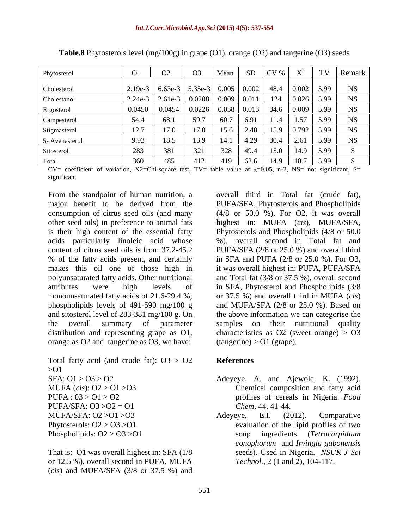| Phytosterol    |           |                                   |                | -SD<br>Mean                                                                        | $CV \%$             |                             | TV Remark |
|----------------|-----------|-----------------------------------|----------------|------------------------------------------------------------------------------------|---------------------|-----------------------------|-----------|
|                |           |                                   |                |                                                                                    |                     |                             |           |
| Cholesterol    | $2.19e-3$ | $\vert$ 6.63e-3   5.35e-3   0.005 |                |                                                                                    | $0.002$   48.4      | 5.99<br>$\vert$ 0.002       |           |
| Cholestanol    |           |                                   |                | $\vert$ 2.24e-3 $\vert$ 2.61e-3 $\vert$ 0.0208 $\vert$ 0.009 $\vert$ 0.011 $\vert$ | ⊥∠⊤                 | U.U∠∪                       |           |
| Ergosterol     | 0.0450    |                                   | 0.0226   0.038 |                                                                                    |                     | 0.009                       |           |
| Campesterol    | 54.4      | 68.1                              | 59.7           | 60.7                                                                               | 11.4                |                             |           |
| Stigmasterol   | 12.7      | 17.0                              |                | 15.6                                                                               | 2.48   15.9   0.792 | 5.99                        |           |
| 5- Avenasterol | 9.93      | 18.5                              |                | 14.1                                                                               | $4.29$ 30.4         | 5.99<br>2.61                |           |
| Sitosterol     | 283       |                                   |                | 520                                                                                | 49.4   15.0   14.9  | 5.99                        |           |
| Fotal          | 360       | 485                               |                | - 419                                                                              |                     | $62.6$   14.9   18.7   5.99 |           |

**Table.8** Phytosterols level (mg/100g) in grape (O1), orange (O2) and tangerine (O3) seeds

CV= coefficient of variation, X2=Chi-square test, TV= table value at  $\alpha$ =0.05, n-2, NS= not significant, S= significant that is a state of the state of the state of the state of the state of the state of the state of the state of the state of the state of the state of the state of the state of the state of the state of the state

From the standpoint of human nutrition, a overall third in Total fat (crude fat), major benefit to be derived from the PUFA/SFA, Phytosterols and Phospholipids consumption of citrus seed oils (and many (4/8 or 50.0 %). For O2, it was overall other seed oils) in preference to animal fats highest in: MUFA (*cis*), MUFA/SFA, is their high content of the essential fatty Phytosterols and Phospholipids (4/8 or 50.0 acids particularly linoleic acid whose %), overall second in Total fat and content of citrus seed oils is from 37.2-45.2 PUFA/SFA (2/8 or 25.0 %) and overall third % of the fatty acids present, and certainly in SFA and PUFA (2/8 or 25.0 %). For O3, makes this oil one of those high in it was overall highest in: PUFA, PUFA/SFA polyunsaturated fatty acids. Other nutritional and Total fat (3/8 or 37.5 %), overall second attributes were high levels of in SFA, Phytosterol and Phospholipids (3/8 monounsaturated fatty acids of 21.6-29.4 %; or 37.5 %) and overall third in MUFA (*cis*) phospholipids levels of 491-590 mg/100 g and MUFA/SFA (2/8 or 25.0 %). Based on and sitosterol level of 283-381 mg/100 g. On the above information we can categorise the the overall summary of parameter samples on their nutritional quality distribution and representing grape as  $O1$ , characteristics as  $O2$  (sweet orange) >  $O3$ orange as O2 and tangerine as O3, we have:

Total fatty acid (and crude fat):  $03 > 02$  References >O1 PUFA/SFA:  $O3 > O2 = O1$  *Chem, 44, 41-44.* 

That is: O1 was overall highest in: SFA (1/8 or 12.5 %), overall second in PUFA, MUFA (*cis*) and MUFA/SFA (3/8 or 37.5 %) and  $(tangerine) > O1$  (grape).

### **References**

- SFA: O1 > O3 > O2 Adeyeye, A. and Ajewole, K. (1992). MUFA (*cis*): O2 > O1 >O3 Chemical composition and fatty acid PUFA : 03 > O1 > O2 profiles of cereals in Nigeria. *Food Chem*, 44, 41-44.
- MUFA/SFA:  $O2 > O1 > O3$  Adeyeye, E.I. (2012). Comparative Phytosterols:  $O2 > O3 > O1$  evaluation of the lipid profiles of two Phospholipids: O2 > O3 >O1 soup ingredients (*Tetracarpidium*  Adeyeye, E.I. (2012). Comparative *conophorum* and *Irvingia gabonensis* seeds). Used in Nigeria. *NSUK J Sci Technol.,* 2 (1 and 2), 104-117.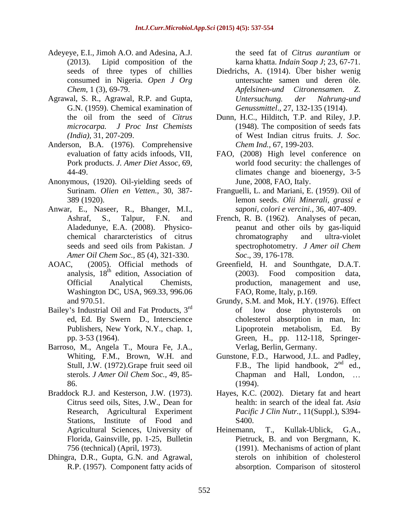- Adeyeye, E.I., Jimoh A.O. and Adesina, A.J. the seed fat of *Citrus aurantium* or (2013). Lipid composition of the karna khatta. *Indain Soap J*; 23, 67-71.
- Agrawal, S. R., Agrawal, R.P. and Gupta, *Untersuchung. der Nahrung-und* G.N. (1959). Chemical examination of
- Anderson, B.A. (1976). Comprehensive
- Anonymous, (1920). Oil-yielding seeds of
- Anwar, E., Naseer, R., Bhanger, M.I., *Amer Oil Chem Soc.,* 85 (4), 321-330.
- Washington DC, USA, 969.33, 996.06
- Bailey's Industrial Oil and Fat Products,  $3<sup>rd</sup>$  of low dose phytosterols on
- Barroso, M., Angela T., Moura Fe, J.A.,
- Braddock R.J. and Kesterson, J.W. (1973). Hayes, K.C. (2002). Dietary fat and heart Stations, Institute of Food and S400, Florida, Gainsville, pp. 1-25, Bulletin
- Dhingra, D.R., Gupta, G.N. and Agrawal,

the seed fat of *Citrus aurantium* or

- seeds of three types of chillies Diedrichs, A. (1914). Über bisher wenig consumed in Nigeria. *Open J Org* untersuchte samen und deren öle. *Chem,* 1 (3), 69-79. *Apfelsinen-und Citronensamen. Z. Untersuchung. der Nahrung-und Genussmittel*., 27, 132-135 (1914).
- the oil from the seed of *Citrus*  Dunn, H.C., Hilditch, T.P. and Riley, J.P. *microcarpa. J Proc Inst Chemists* (1948). The composition of seeds fats *(India),* 31, 207-209. of West Indian citrus fruits. *J. Soc. Chem Ind.,* 67, 199-203.
- evaluation of fatty acids infoods, VII, FAO, (2008) High level conference on Pork products. *J. Amer Diet Assoc,* 69, world food security: the challenges of 44-49. climates change and bioenergy, 3-5 June, 2008, FAO, Italy.
- Surinam. *Olien en Vetten.,* 30, 387- Franguelli, L. and Mariani, E. (1959). Oil of 389 (1920). lemon seeds. *Olii Minerali, grassi e saponi, colori e vercini.,* 36, 407-409.
- Ashraf, S., Talpur, F.N. and French, R. B. (1962). Analyses of pecan, Aladedunye, E.A. (2008). Physico- peanut and other oils by gas-liquid chemical chararcteristics of citrus seeds and seed oils from Pakistan. *J* spectrophotometry. *J Amer oil Chem* chromatography and ultra-violet spectrophotometry. *J Amer oil Chem Soc*., 39, 176-178.
- AOAC, (2005). Official methods of Greenfield, H. and Sounthgate, D.A.T. analysis, 18<sup>th</sup> edition, Association of (2003). Food composition data, Official Analytical Chemists, production, management and use, FAO, Rome, Italy, p.169.
	- and 970.51. Grundy, S.M. and Mok, H.Y. (1976). Effect rd of low does not established on ed, Ed. By Swern D., Interscience cholesterol absorption in man, In: Publishers, New York, N.Y., chap. 1, Lipoprotein metabolism, Ed. By pp. 3-53 (1964). Green, H., pp. 112-118, Springer of low dose phytosterols on Lipoprotein metabolism, Ed. By Verlag, Berlin, Germany.
	- Whiting, F.M., Brown, W.H. and Gunstone, F.D., Harwood, J.L. and Padley, Stull, J.W. (1972). Grape fruit seed oil F.B., The lipid handbook,  $2^{nd}$  ed., sterols. *J Amer Oil Chem Soc.,* 49, 85- 86. (1994).  $nd$   $od$ ed., Chapman and Hall, London, (1994).
	- Citrus seed oils, Sites, J.W., Dean for health: in search of the ideal fat. *Asia*  Research, Agricultural Experiment *Pacific J Clin Nutr.,* 11(Suppl.), S394- S400.
	- Agricultural Sciences, University of Heinemann, T., Kullak-Ublick, G.A., 756 (technical) (April, 1973). (1991). Mechanisms of action of plant R.P. (1957). Component fatty acids of absorption. Comparison of sitosterolT., Kullak-Ublick, Pietruck, B. and von Bergmann, K. sterols on inhibition of cholesterol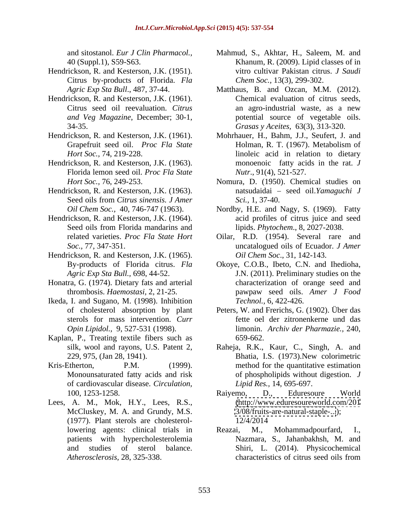- Hendrickson, R. and Kesterson, J.K. (1951). Citrus by-products of Florida. *Fla*
- Hendrickson, R. and Kesterson, J.K. (1961). *and Veg Magazine*, December; 30-1,
- 
- Hendrickson, R. and Kesterson, J.K. (1963). Florida lemon seed oil. *Proc Fla State*
- Hendrickson, R. and Kesterson, J.K. (1963).
- Hendrickson, R. and Kesterson, J.K. (1964).
- Hendrickson, R. and Kesterson, J.K. (1965).
- Honatra, G. (1974). Dietary fats and arterial
- Ikeda, I. and Sugano, M. (1998). Inhibition
- Kaplan, P., Treating textile fibers such as  $659-662$ .
- of cardiovascular disease. *Circulation,*
- Lees, A. M., Mok, H.Y., Lees, R.S., McCluskey, M. A. and Grundy, M.S. (1977). Plant sterols are cholesterolpatients with hypercholesterolemia
- and sitostanol. *Eur J Clin Pharmacol.,* Mahmud, S., Akhtar, H., Saleem, M. and 40 (Suppl.1), S59-S63. Khanum, R. (2009). Lipid classes of in vitro cultivar Pakistan citrus. *J Saudi Chem Soc.,* 13(3), 299-302.
- *Agric Exp Sta Bull*., 487, 37-44. Matthaus, B. and Ozcan, M.M. (2012). Citrus seed oil reevaluation. *Citrus*  34-35. *Grasas y Aceites,* 63(3), 313-320. Chemical evaluation of citrus seeds, an agro-industrial waste, as a new potential source of vegetable oils.
- Hendrickson, R. and Kesterson, J.K. (1961). Mohrhauer, H., Bahm, J.J., Seufert, J. and Grapefruit seed oil. *Proc Fla State* **Holman, R. T. (1967). Metabolism of** *Hort Soc.,* 74, 219-228. linoleic acid in relation to dietary Holman, R. T. (1967). Metabolism of monoenoic fatty acids in the rat. *J Nutr*., 91(4), 521-527.
	- *Hort Soc.,* 76, 249-253. Nomura, D. (1950). Chemical studies on Seed oils from *Citrus sinensis. J Amer* natsudaidai - seed oil.*Yamaguchi J Sci.,* 1, 37-40.
	- *Oil Chem Soc.,* 40, 746-747 (1963). Nordby, H.E. and Nagy, S. (1969). Fatty Seed oils from Florida mandarins and lipids. Phytochem., 8, 2027-2038. acid profiles of citrus juice and seed lipids. *Phytochem*., 8, 2027-2038.
	- related varieties. *Proc Fla State Hort* Oilar, R.D. (1954). Several rare and *Soc.,* 77, 347-351. uncatalogued oils of Ecuador. *J Amer Oil Chem Soc*., 31, 142-143.
	- By-products of Florida citrus. *Fla*  Okoye, C.O.B., Ibeto, C.N. and Ihedioha, *Agric Exp Sta Bull.,* 698, 44-52. J.N. (2011). Preliminary studies on the thrombosis. *Haemostasi,* 2, 21-25. pawpaw seed oils. *Amer J Food* characterization of orange seed and *Technol.,* 6, 422-426.
	- of cholesterol absorption by plant Peters, W. and Frerichs, G. (1902). Über das sterols for mass intervention. *Curr*  fette oel der zitronenkerne und das *Opin Lipidol.,* 9, 527-531 (1998). limonin. *Archiv der Pharmazie.,* 240, 659-662.
- silk, wool and rayons, U.S. Patent 2, Raheja, R.K., Kaur, C., Singh, A. and 229, 975, (Jan 28, 1941). Bhatia, I.S. (1973).New colorimetric Kris-Etherton, P.M. (1999). method for the quantitative estimation Monounsaturated fatty acids and risk of phospholipids without digestion. *J Lipid Res.,* 14, 695-697.
	- 100, 1253-1258. Raiyemo, D., Eduresoure World [\(http://www.eduresoureworld.com/201](http://www.eduresoureworld.com/201) <3/08/fruits-are-natural-staple-...>); 12/4/2014
	- lowering agents: clinical trials in Reazai, M., Mohammadpourfard, I., and studies of sterol balance. Shiri, L. (2014). Physicochemical *Atherosclerosis,* 28, 325-338. characteristics of citrus seed oils fromMohammadpourfard, Nazmara, S., Jahanbakhsh, M. and